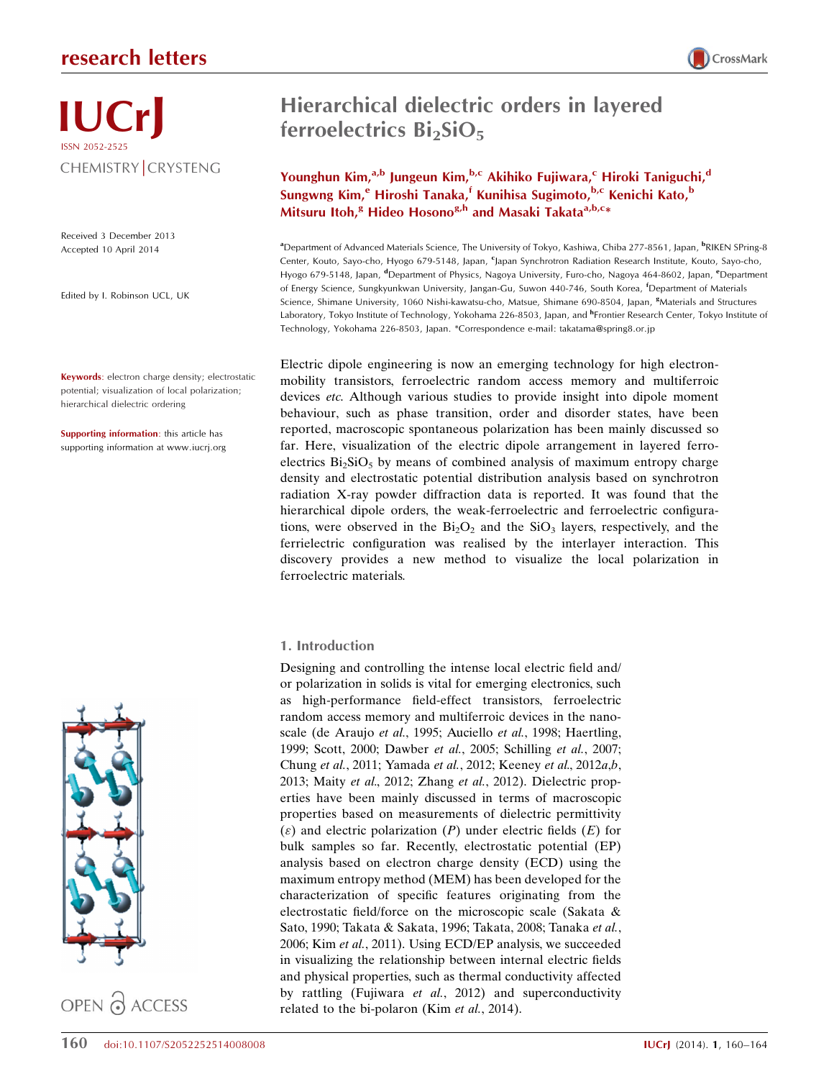## research letters

# Hierarchical dielectric orders in layered ferroelectrics  $Bi<sub>2</sub>SiO<sub>5</sub>$

Younghun Kim,<sup>a,b</sup> Jungeun Kim,<sup>b,c</sup> Akihiko Fujiwara,<sup>c</sup> Hiroki Taniguchi,<sup>d</sup> Sungwng Kim,<sup>e</sup> Hiroshi Tanaka,<sup>f</sup> Kunihisa Sugimoto,<sup>b,c</sup> Kenichi Kato,<sup>b</sup> Mitsuru Itoh,<sup>g</sup> Hideo Hosono<sup>g,h</sup> and Masaki Takata<sup>a,b,c</sup>\*

a Department of Advanced Materials Science, The University of Tokyo, Kashiwa, Chiba 277-8561, Japan, <sup>b</sup> RIKEN SPring-8 Center, Kouto, Sayo-cho, Hyogo 679-5148, Japan, <sup>c</sup>Japan Synchrotron Radiation Research Institute, Kouto, Sayo-cho, Hyogo 679-5148, Japan, <sup>d</sup>Department of Physics, Nagoya University, Furo-cho, Nagoya 464-8602, Japan, <sup>e</sup>Department of Energy Science, Sungkyunkwan University, Jangan-Gu, Suwon 440-746, South Korea, <sup>f</sup> Department of Materials Science, Shimane University, 1060 Nishi-kawatsu-cho, Matsue, Shimane 690-8504, Japan, <sup>8</sup>Materials and Structures Laboratory, Tokyo Institute of Technology, Yokohama 226-8503, Japan, and <sup>h</sup>Frontier Research Center, Tokyo Institute of Technology, Yokohama 226-8503, Japan. \*Correspondence e-mail: takatama@spring8.or.jp

Electric dipole engineering is now an emerging technology for high electronmobility transistors, ferroelectric random access memory and multiferroic devices etc. Although various studies to provide insight into dipole moment behaviour, such as phase transition, order and disorder states, have been reported, macroscopic spontaneous polarization has been mainly discussed so far. Here, visualization of the electric dipole arrangement in layered ferroelectrics  $Bi<sub>2</sub>SiO<sub>5</sub>$  by means of combined analysis of maximum entropy charge density and electrostatic potential distribution analysis based on synchrotron radiation X-ray powder diffraction data is reported. It was found that the hierarchical dipole orders, the weak-ferroelectric and ferroelectric configurations, were observed in the  $Bi<sub>2</sub>O<sub>2</sub>$  and the  $SiO<sub>3</sub>$  layers, respectively, and the ferrielectric configuration was realised by the interlayer interaction. This discovery provides a new method to visualize the local polarization in ferroelectric materials.

### 1. Introduction

Designing and controlling the intense local electric field and/ or polarization in solids is vital for emerging electronics, such as high-performance field-effect transistors, ferroelectric random access memory and multiferroic devices in the nanoscale (de Araujo et al., 1995; Auciello et al., 1998; Haertling, 1999; Scott, 2000; Dawber et al., 2005; Schilling et al., 2007; Chung et al., 2011; Yamada et al., 2012; Keeney et al., 2012a,b, 2013; Maity et al., 2012; Zhang et al., 2012). Dielectric properties have been mainly discussed in terms of macroscopic properties based on measurements of dielectric permittivity  $(\varepsilon)$  and electric polarization (P) under electric fields (E) for bulk samples so far. Recently, electrostatic potential (EP) analysis based on electron charge density (ECD) using the maximum entropy method (MEM) has been developed for the characterization of specific features originating from the electrostatic field/force on the microscopic scale (Sakata & Sato, 1990; Takata & Sakata, 1996; Takata, 2008; Tanaka et al., 2006; Kim et al., 2011). Using ECD/EP analysis, we succeeded in visualizing the relationship between internal electric fields and physical properties, such as thermal conductivity affected by rattling (Fujiwara et al., 2012) and superconductivity related to the bi-polaron (Kim *et al.*, 2014).



IUCrJ

ISSN 2052-2525

Edited by I. Robinson UCL, UK

Accepted 10 April 2014

Keywords: electron charge density; electrostatic potential; visualization of local polarization; hierarchical dielectric ordering

Supporting information: this article has supporting information at www.iucrj.org



OPEN & ACCESS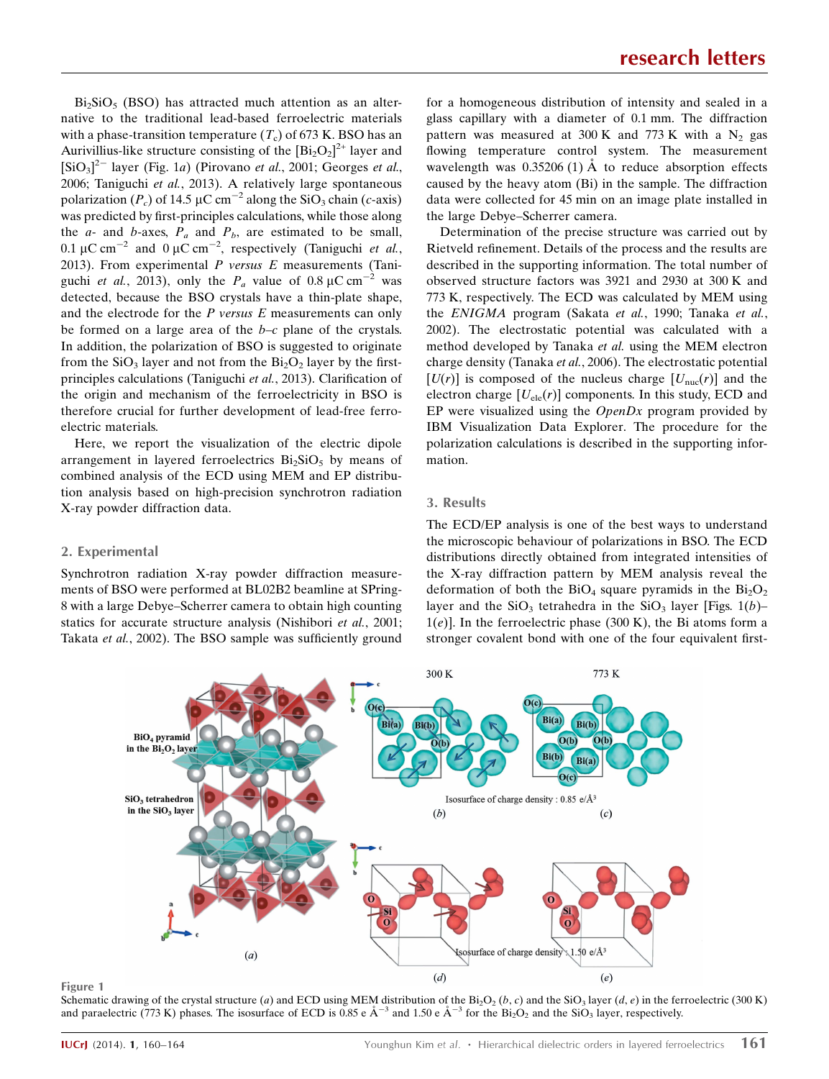$Bi<sub>2</sub>SiO<sub>5</sub>$  (BSO) has attracted much attention as an alternative to the traditional lead-based ferroelectric materials with a phase-transition temperature  $(T_c)$  of 673 K. BSO has an Aurivillius-like structure consisting of the  $[\text{Bi}_2\text{O}_2]^{2+}$  layer and  $[\text{SiO}_3]^2$ <sup>-</sup> layer (Fig. 1a) (Pirovano et al., 2001; Georges et al., 2006; Taniguchi et al., 2013). A relatively large spontaneous polarization ( $P_c$ ) of 14.5 µC cm<sup>-2</sup> along the SiO<sub>3</sub> chain (c-axis) was predicted by first-principles calculations, while those along the  $a$ - and  $b$ -axes,  $P_a$  and  $P_b$ , are estimated to be small, 0.1  $\mu$ C cm<sup>-2</sup> and 0  $\mu$ C cm<sup>-2</sup>, respectively (Taniguchi *et al.*, 2013). From experimental  $P$  versus  $E$  measurements (Taniguchi *et al.*, 2013), only the  $P_a$  value of 0.8  $\mu$ C cm<sup>-2</sup> was detected, because the BSO crystals have a thin-plate shape, and the electrode for the  $P$  versus  $E$  measurements can only be formed on a large area of the  $b-c$  plane of the crystals. In addition, the polarization of BSO is suggested to originate from the  $SiO<sub>3</sub>$  layer and not from the  $Bi<sub>2</sub>O<sub>2</sub>$  layer by the firstprinciples calculations (Taniguchi et al., 2013). Clarification of the origin and mechanism of the ferroelectricity in BSO is therefore crucial for further development of lead-free ferroelectric materials.

Here, we report the visualization of the electric dipole arrangement in layered ferroelectrics  $Bi<sub>2</sub>SiO<sub>5</sub>$  by means of combined analysis of the ECD using MEM and EP distribution analysis based on high-precision synchrotron radiation X-ray powder diffraction data.

for a homogeneous distribution of intensity and sealed in a glass capillary with a diameter of 0.1 mm. The diffraction pattern was measured at 300 K and 773 K with a  $N_2$  gas flowing temperature control system. The measurement wavelength was  $0.35206(1)$  Å to reduce absorption effects caused by the heavy atom (Bi) in the sample. The diffraction data were collected for 45 min on an image plate installed in the large Debye–Scherrer camera.

Determination of the precise structure was carried out by Rietveld refinement. Details of the process and the results are described in the supporting information. The total number of observed structure factors was 3921 and 2930 at 300 K and 773 K, respectively. The ECD was calculated by MEM using the ENIGMA program (Sakata et al., 1990; Tanaka et al., 2002). The electrostatic potential was calculated with a method developed by Tanaka et al. using the MEM electron charge density (Tanaka et al., 2006). The electrostatic potential  $[U(r)]$  is composed of the nucleus charge  $[U_{\text{nuc}}(r)]$  and the electron charge  $[U_{ele}(r)]$  components. In this study, ECD and EP were visualized using the  $OpenDx$  program provided by IBM Visualization Data Explorer. The procedure for the polarization calculations is described in the supporting information.

#### 3. Results

#### 2. Experimental

Synchrotron radiation X-ray powder diffraction measurements of BSO were performed at BL02B2 beamline at SPring-8 with a large Debye–Scherrer camera to obtain high counting statics for accurate structure analysis (Nishibori et al., 2001; Takata et al., 2002). The BSO sample was sufficiently ground The ECD/EP analysis is one of the best ways to understand the microscopic behaviour of polarizations in BSO. The ECD distributions directly obtained from integrated intensities of the X-ray diffraction pattern by MEM analysis reveal the deformation of both the  $BiO_4$  square pyramids in the  $Bi_2O_2$ layer and the  $SiO_3$  tetrahedra in the  $SiO_3$  layer [Figs. 1(b)–  $1(e)$ ]. In the ferroelectric phase (300 K), the Bi atoms form a stronger covalent bond with one of the four equivalent first-



#### Figure 1

Schematic drawing of the crystal structure (a) and ECD using MEM distribution of the Bi<sub>2</sub>O<sub>2</sub> (b, c) and the SiO<sub>3</sub> layer (d, e) in the ferroelectric (300 K) and paraelectric (773 K) phases. The isosurface of ECD is 0.85 e  $\AA^{-3}$  and 1.50 e  $\AA^{-3}$  for the  $\text{Bi}_2\text{O}_2$  and the SiO<sub>3</sub> layer, respectively.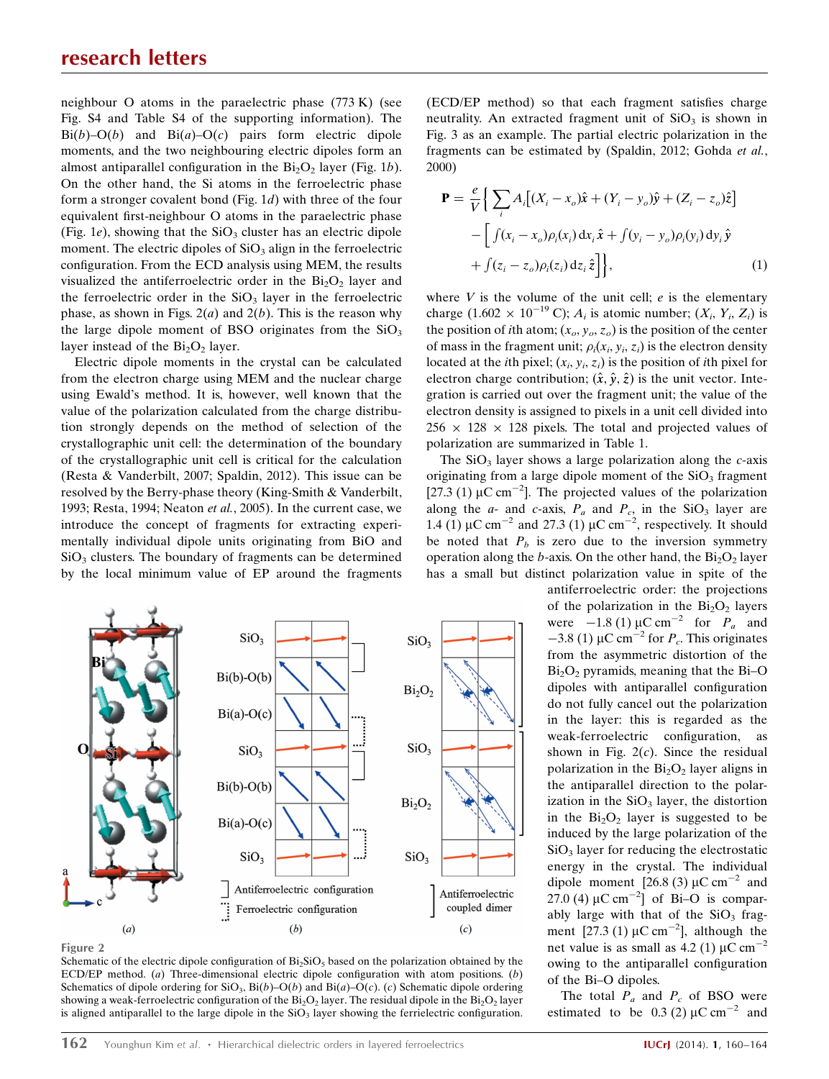neighbour O atoms in the paraelectric phase (773 K) (see Fig. S4 and Table S4 of the supporting information). The  $Bi(b)-O(b)$  and  $Bi(a)-O(c)$  pairs form electric dipole moments, and the two neighbouring electric dipoles form an almost antiparallel configuration in the  $Bi<sub>2</sub>O<sub>2</sub>$  layer (Fig. 1b). On the other hand, the Si atoms in the ferroelectric phase form a stronger covalent bond (Fig. 1d) with three of the four equivalent first-neighbour O atoms in the paraelectric phase (Fig. 1e), showing that the  $SiO<sub>3</sub>$  cluster has an electric dipole moment. The electric dipoles of  $SiO<sub>3</sub>$  align in the ferroelectric configuration. From the ECD analysis using MEM, the results visualized the antiferroelectric order in the  $Bi<sub>2</sub>O<sub>2</sub>$  layer and the ferroelectric order in the  $SiO<sub>3</sub>$  layer in the ferroelectric phase, as shown in Figs.  $2(a)$  and  $2(b)$ . This is the reason why the large dipole moment of BSO originates from the  $SiO<sub>3</sub>$ layer instead of the  $Bi<sub>2</sub>O<sub>2</sub>$  layer.

Electric dipole moments in the crystal can be calculated from the electron charge using MEM and the nuclear charge using Ewald's method. It is, however, well known that the value of the polarization calculated from the charge distribution strongly depends on the method of selection of the crystallographic unit cell: the determination of the boundary of the crystallographic unit cell is critical for the calculation (Resta & Vanderbilt, 2007; Spaldin, 2012). This issue can be resolved by the Berry-phase theory (King-Smith & Vanderbilt, 1993; Resta, 1994; Neaton et al., 2005). In the current case, we introduce the concept of fragments for extracting experimentally individual dipole units originating from BiO and  $SiO<sub>3</sub>$  clusters. The boundary of fragments can be determined by the local minimum value of EP around the fragments



Figure 2

Schematic of the electric dipole configuration of  $Bi_2SiO_5$  based on the polarization obtained by the ECD/EP method. (a) Three-dimensional electric dipole configuration with atom positions. (b) Schematics of dipole ordering for  $SiO_3$ ,  $Bi(b)-O(b)$  and  $Bi(a)-O(c)$ . (c) Schematic dipole ordering showing a weak-ferroelectric configuration of the  $Bi_2O_2$  layer. The residual dipole in the  $Bi_2O_2$  layer is aligned antiparallel to the large dipole in the  $SiO<sub>3</sub>$  layer showing the ferrielectric configuration.

(ECD/EP method) so that each fragment satisfies charge neutrality. An extracted fragment unit of  $SiO<sub>3</sub>$  is shown in Fig. 3 as an example. The partial electric polarization in the fragments can be estimated by (Spaldin, 2012; Gohda et al., 2000)

$$
\mathbf{P} = \frac{e}{V} \Big\{ \sum_{i} A_i \Big[ (X_i - x_o) \hat{\mathbf{x}} + (Y_i - y_o) \hat{\mathbf{y}} + (Z_i - z_o) \hat{\mathbf{z}} \Big] - \Big[ \int (x_i - x_o) \rho_i(x_i) \, dx_i \, \hat{\mathbf{x}} + \int (y_i - y_o) \rho_i(y_i) \, dy_i \, \hat{\mathbf{y}} + \int (z_i - z_o) \rho_i(z_i) \, dz_i \, \hat{\mathbf{z}} \Big] \Big\},\tag{1}
$$

where  $V$  is the volume of the unit cell;  $e$  is the elementary charge  $(1.602 \times 10^{-19} \text{ C})$ ;  $A_i$  is atomic number;  $(X_i, Y_i, Z_i)$  is the position of *i*th atom;  $(x_o, y_o, z_o)$  is the position of the center of mass in the fragment unit;  $\rho_i(x_i, y_i, z_i)$  is the electron density located at the *i*th pixel;  $(x_i, y_i, z_i)$  is the position of *i*th pixel for electron charge contribution;  $(\hat{x}, \hat{y}, \hat{z})$  is the unit vector. Integration is carried out over the fragment unit; the value of the electron density is assigned to pixels in a unit cell divided into  $256 \times 128 \times 128$  pixels. The total and projected values of polarization are summarized in Table 1.

The  $SiO<sub>3</sub>$  layer shows a large polarization along the c-axis originating from a large dipole moment of the  $SiO<sub>3</sub>$  fragment [27.3 (1)  $\mu$ C cm<sup>-2</sup>]. The projected values of the polarization along the  $a$ - and  $c$ -axis,  $P_a$  and  $P_c$ , in the SiO<sub>3</sub> layer are 1.4 (1)  $\mu$ C cm<sup>-2</sup> and 27.3 (1)  $\mu$ C cm<sup>-2</sup>, respectively. It should be noted that  $P_b$  is zero due to the inversion symmetry operation along the b-axis. On the other hand, the  $Bi<sub>2</sub>O<sub>2</sub>$  layer has a small but distinct polarization value in spite of the

> antiferroelectric order: the projections of the polarization in the  $Bi<sub>2</sub>O<sub>2</sub>$  layers were  $-1.8$  (1)  $\mu$ C cm<sup>-2</sup> for  $P_a$  and  $-3.8$  (1)  $\mu$ C cm<sup>-2</sup> for  $P_c$ . This originates from the asymmetric distortion of the  $Bi<sub>2</sub>O<sub>2</sub>$  pyramids, meaning that the Bi–O dipoles with antiparallel configuration do not fully cancel out the polarization in the layer: this is regarded as the weak-ferroelectric configuration, as shown in Fig.  $2(c)$ . Since the residual polarization in the  $Bi<sub>2</sub>O<sub>2</sub>$  layer aligns in the antiparallel direction to the polarization in the  $SiO<sub>3</sub>$  layer, the distortion in the  $Bi<sub>2</sub>O<sub>2</sub>$  layer is suggested to be induced by the large polarization of the SiO<sub>3</sub> layer for reducing the electrostatic energy in the crystal. The individual dipole moment [26.8 (3)  $\mu$ C cm<sup>-2</sup> and 27.0 (4)  $\mu$ C cm<sup>-2</sup>] of Bi-O is comparably large with that of the  $SiO<sub>3</sub>$  fragment  $[27.3 (1) \mu C \text{ cm}^{-2}]$ , although the net value is as small as  $4.2$  (1)  $\mu$ C cm<sup>-2</sup> owing to the antiparallel configuration of the Bi–O dipoles.

The total  $P_a$  and  $P_c$  of BSO were estimated to be 0.3 (2)  $\mu$ C cm<sup>-2</sup> and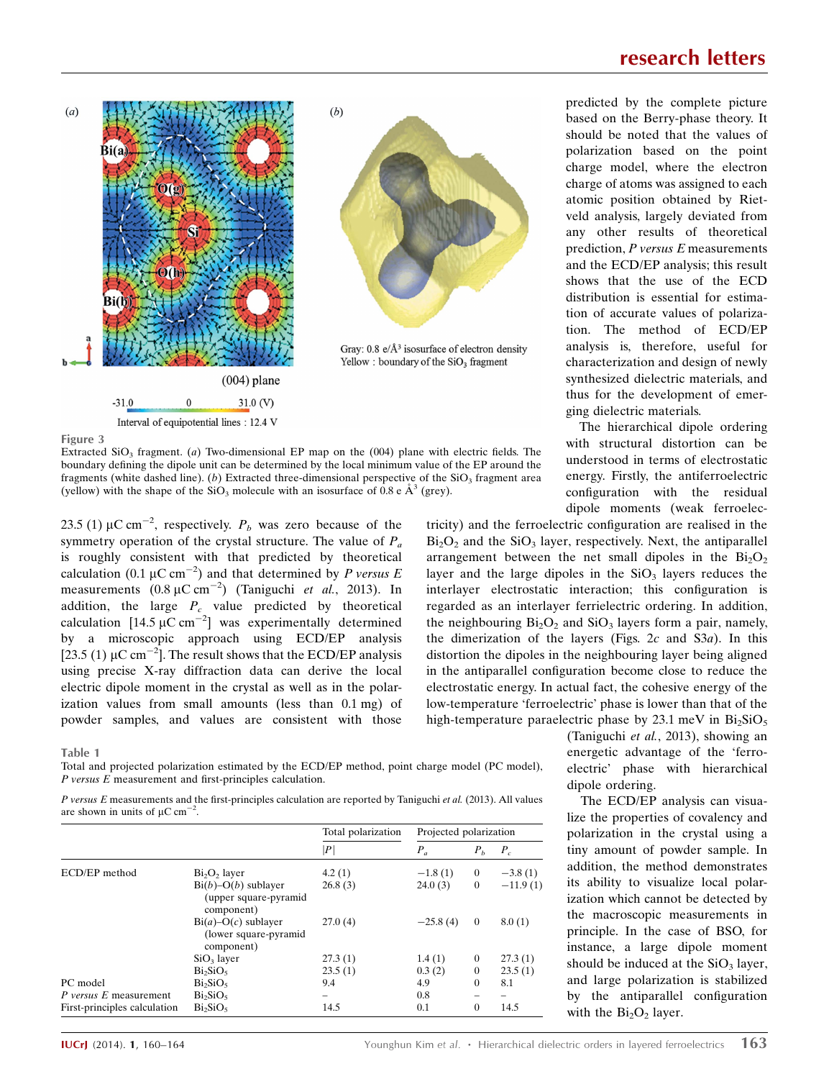

![](_page_3_Figure_1.jpeg)

Figure 3

Extracted  $SiO<sub>3</sub>$  fragment. (a) Two-dimensional EP map on the (004) plane with electric fields. The boundary defining the dipole unit can be determined by the local minimum value of the EP around the fragments (white dashed line). (b) Extracted three-dimensional perspective of the  $SiO<sub>3</sub>$  fragment area (yellow) with the shape of the  $SiO_3$  molecule with an isosurface of 0.8 e  $\AA^3$  (grey).

23.5 (1)  $\mu$ C cm<sup>-2</sup>, respectively.  $P_b$  was zero because of the symmetry operation of the crystal structure. The value of  $P_a$ is roughly consistent with that predicted by theoretical calculation (0.1  $\mu$ C cm<sup>-2</sup>) and that determined by *P versus E* measurements  $(0.8 \, \mu \text{C cm}^{-2})$  (Taniguchi *et al.*, 2013). In addition, the large  $P_c$  value predicted by theoretical calculation [14.5  $\mu$ C cm<sup>-2</sup>] was experimentally determined by a microscopic approach using ECD/EP analysis [23.5 (1)  $\mu$ C cm<sup>-2</sup>]. The result shows that the ECD/EP analysis using precise X-ray diffraction data can derive the local electric dipole moment in the crystal as well as in the polarization values from small amounts (less than 0.1 mg) of powder samples, and values are consistent with those

Table 1

Total and projected polarization estimated by the ECD/EP method, point charge model (PC model), P versus E measurement and first-principles calculation.

P versus E measurements and the first-principles calculation are reported by Taniguchi et al. (2013). All values are shown in units of  $\mu$ C cm<sup>-2</sup>.

|                              |                                                                 | Total polarization<br> P | Projected polarization |                |            |
|------------------------------|-----------------------------------------------------------------|--------------------------|------------------------|----------------|------------|
|                              |                                                                 |                          | $P_a$                  | $P_h$          | $P_c$      |
| ECD/EP method                | $Bi2O2$ layer                                                   | 4.2(1)                   | $-1.8(1)$              | $\overline{0}$ | $-3.8(1)$  |
|                              | $Bi(b) - O(b)$ sublayer<br>(upper square-pyramid<br>component)  | 26.8(3)                  | 24.0(3)                | $\theta$       | $-11.9(1)$ |
|                              | $Bi(a) - O(c)$ sublayer<br>(lower square-pyramid)<br>component) | 27.0(4)                  | $-25.8(4)$             | $\theta$       | 8.0(1)     |
|                              | SiO <sub>3</sub> layer                                          | 27.3(1)                  | 1.4(1)                 | $\Omega$       | 27.3(1)    |
|                              | Bi <sub>2</sub> SiO <sub>5</sub>                                | 23.5(1)                  | 0.3(2)                 | $\mathbf{0}$   | 23.5(1)    |
| PC model                     | Bi <sub>2</sub> SiO <sub>5</sub>                                | 9.4                      | 4.9                    | $\Omega$       | 8.1        |
| P versus E measurement       | $Bi_2SiO_5$                                                     |                          | 0.8                    |                |            |
| First-principles calculation | $Bi_2SiO_5$                                                     | 14.5                     | 0.1                    | $\Omega$       | 14.5       |

predicted by the complete picture based on the Berry-phase theory. It should be noted that the values of polarization based on the point charge model, where the electron charge of atoms was assigned to each atomic position obtained by Rietveld analysis, largely deviated from any other results of theoretical prediction, P versus E measurements and the ECD/EP analysis; this result shows that the use of the ECD distribution is essential for estimation of accurate values of polarization. The method of ECD/EP analysis is, therefore, useful for characterization and design of newly synthesized dielectric materials, and thus for the development of emerging dielectric materials.

The hierarchical dipole ordering with structural distortion can be understood in terms of electrostatic energy. Firstly, the antiferroelectric configuration with the residual dipole moments (weak ferroelec-

tricity) and the ferroelectric configuration are realised in the  $Bi<sub>2</sub>O<sub>2</sub>$  and the  $SiO<sub>3</sub>$  layer, respectively. Next, the antiparallel arrangement between the net small dipoles in the  $Bi<sub>2</sub>O<sub>2</sub>$ layer and the large dipoles in the  $SiO<sub>3</sub>$  layers reduces the interlayer electrostatic interaction; this configuration is regarded as an interlayer ferrielectric ordering. In addition, the neighbouring  $Bi_2O_2$  and  $SiO_3$  layers form a pair, namely, the dimerization of the layers (Figs.  $2c$  and S3a). In this distortion the dipoles in the neighbouring layer being aligned in the antiparallel configuration become close to reduce the electrostatic energy. In actual fact, the cohesive energy of the low-temperature 'ferroelectric' phase is lower than that of the high-temperature paraelectric phase by 23.1 meV in  $Bi_2SiO_5$ 

> (Taniguchi et al., 2013), showing an energetic advantage of the 'ferroelectric' phase with hierarchical dipole ordering.

> The ECD/EP analysis can visualize the properties of covalency and polarization in the crystal using a tiny amount of powder sample. In addition, the method demonstrates its ability to visualize local polarization which cannot be detected by the macroscopic measurements in principle. In the case of BSO, for instance, a large dipole moment should be induced at the  $SiO<sub>3</sub>$  layer, and large polarization is stabilized by the antiparallel configuration with the  $Bi<sub>2</sub>O<sub>2</sub>$  layer.